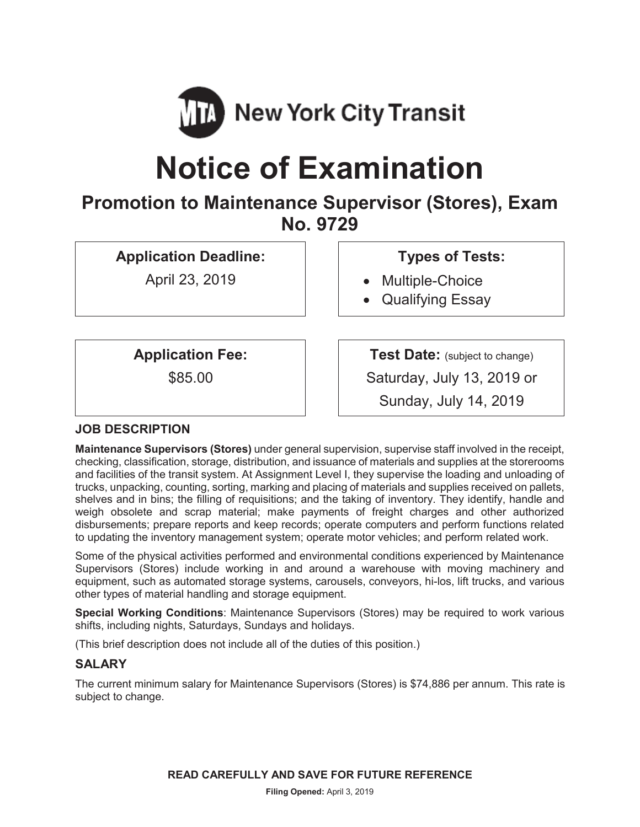

# **Notice of Examination**

# **Promotion to Maintenance Supervisor (Stores), Exam No. 9729**

**Application Deadline:** 

April 23, 2019

# **Types of Tests:**

- Multiple-Choice
- Qualifying Essay

**Application Fee:** 

\$85.00

**Test Date:** (subject to change) Saturday, July 13, 2019 or Sunday, July 14, 2019

# **JOB DESCRIPTION**

**Maintenance Supervisors (Stores)** under general supervision, supervise staff involved in the receipt, checking, classification, storage, distribution, and issuance of materials and supplies at the storerooms and facilities of the transit system. At Assignment Level I, they supervise the loading and unloading of trucks, unpacking, counting, sorting, marking and placing of materials and supplies received on pallets, shelves and in bins; the filling of requisitions; and the taking of inventory. They identify, handle and weigh obsolete and scrap material; make payments of freight charges and other authorized disbursements; prepare reports and keep records; operate computers and perform functions related to updating the inventory management system; operate motor vehicles; and perform related work.

Some of the physical activities performed and environmental conditions experienced by Maintenance Supervisors (Stores) include working in and around a warehouse with moving machinery and equipment, such as automated storage systems, carousels, conveyors, hi-los, lift trucks, and various other types of material handling and storage equipment.

**Special Working Conditions**: Maintenance Supervisors (Stores) may be required to work various shifts, including nights, Saturdays, Sundays and holidays.

(This brief description does not include all of the duties of this position.)

# **SALARY**

The current minimum salary for Maintenance Supervisors (Stores) is \$74,886 per annum. This rate is subject to change.

**READ CAREFULLY AND SAVE FOR FUTURE REFERENCE**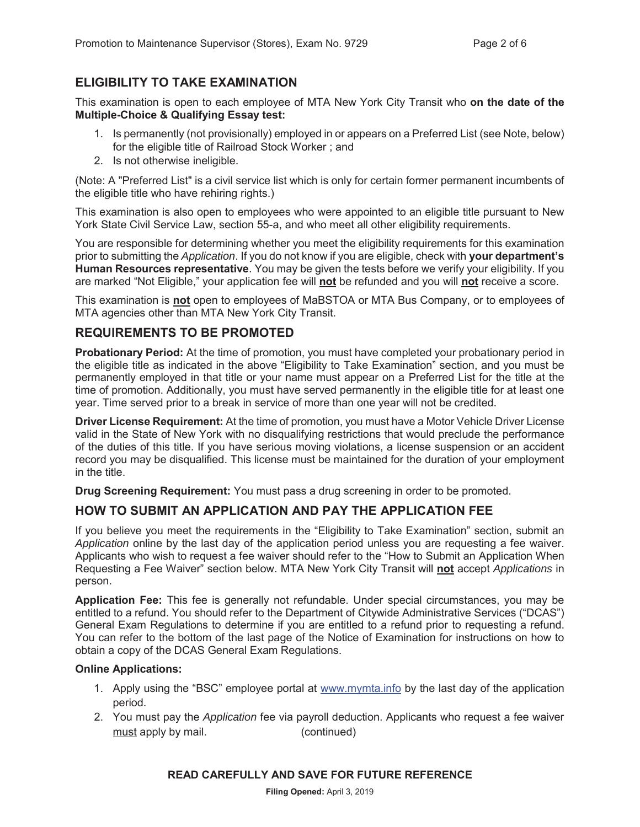# **ELIGIBILITY TO TAKE EXAMINATION**

This examination is open to each employee of MTA New York City Transit who **on the date of the Multiple-Choice & Qualifying Essay test:** 

- 1. Is permanently (not provisionally) employed in or appears on a Preferred List (see Note, below) for the eligible title of Railroad Stock Worker ; and
- 2. Is not otherwise ineligible.

(Note: A "Preferred List" is a civil service list which is only for certain former permanent incumbents of the eligible title who have rehiring rights.)

This examination is also open to employees who were appointed to an eligible title pursuant to New York State Civil Service Law, section 55-a, and who meet all other eligibility requirements.

You are responsible for determining whether you meet the eligibility requirements for this examination prior to submitting the *Application*. If you do not know if you are eligible, check with **your department's Human Resources representative**. You may be given the tests before we verify your eligibility. If you are marked "Not Eligible," your application fee will **not** be refunded and you will **not** receive a score.

This examination is **not** open to employees of MaBSTOA or MTA Bus Company, or to employees of MTA agencies other than MTA New York City Transit.

## **REQUIREMENTS TO BE PROMOTED**

**Probationary Period:** At the time of promotion, you must have completed your probationary period in the eligible title as indicated in the above "Eligibility to Take Examination" section, and you must be permanently employed in that title or your name must appear on a Preferred List for the title at the time of promotion. Additionally, you must have served permanently in the eligible title for at least one year. Time served prior to a break in service of more than one year will not be credited.

**Driver License Requirement:** At the time of promotion, you must have a Motor Vehicle Driver License valid in the State of New York with no disqualifying restrictions that would preclude the performance of the duties of this title. If you have serious moving violations, a license suspension or an accident record you may be disqualified. This license must be maintained for the duration of your employment in the title.

**Drug Screening Requirement:** You must pass a drug screening in order to be promoted.

# **HOW TO SUBMIT AN APPLICATION AND PAY THE APPLICATION FEE**

If you believe you meet the requirements in the "Eligibility to Take Examination" section, submit an *Application* online by the last day of the application period unless you are requesting a fee waiver. Applicants who wish to request a fee waiver should refer to the "How to Submit an Application When Requesting a Fee Waiver" section below. MTA New York City Transit will **not** accept *Applications* in person.

**Application Fee:** This fee is generally not refundable. Under special circumstances, you may be entitled to a refund. You should refer to the Department of Citywide Administrative Services ("DCAS") General Exam Regulations to determine if you are entitled to a refund prior to requesting a refund. You can refer to the bottom of the last page of the Notice of Examination for instructions on how to obtain a copy of the DCAS General Exam Regulations.

#### **Online Applications:**

- 1. Apply using the "BSC" employee portal at www.mymta.info by the last day of the application period.
- 2. You must pay the *Application* fee via payroll deduction. Applicants who request a fee waiver must apply by mail. (continued)

#### **READ CAREFULLY AND SAVE FOR FUTURE REFERENCE**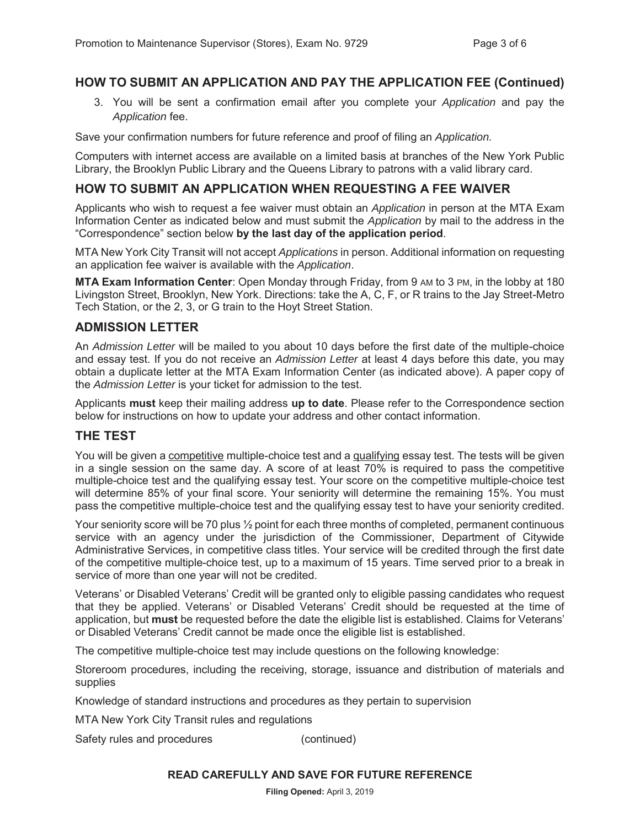#### **HOW TO SUBMIT AN APPLICATION AND PAY THE APPLICATION FEE (Continued)**

3. You will be sent a confirmation email after you complete your *Application* and pay the *Application* fee.

Save your confirmation numbers for future reference and proof of filing an *Application.*

Computers with internet access are available on a limited basis at branches of the New York Public Library, the Brooklyn Public Library and the Queens Library to patrons with a valid library card.

#### **HOW TO SUBMIT AN APPLICATION WHEN REQUESTING A FEE WAIVER**

Applicants who wish to request a fee waiver must obtain an *Application* in person at the MTA Exam Information Center as indicated below and must submit the *Application* by mail to the address in the "Correspondence" section below **by the last day of the application period**.

MTA New York City Transit will not accept *Applications* in person. Additional information on requesting an application fee waiver is available with the *Application*.

**MTA Exam Information Center**: Open Monday through Friday, from 9 AM to 3 PM, in the lobby at 180 Livingston Street, Brooklyn, New York. Directions: take the A, C, F, or R trains to the Jay Street-Metro Tech Station, or the 2, 3, or G train to the Hoyt Street Station.

#### **ADMISSION LETTER**

An *Admission Letter* will be mailed to you about 10 days before the first date of the multiple-choice and essay test. If you do not receive an *Admission Letter* at least 4 days before this date, you may obtain a duplicate letter at the MTA Exam Information Center (as indicated above). A paper copy of the *Admission Letter* is your ticket for admission to the test.

Applicants **must** keep their mailing address **up to date**. Please refer to the Correspondence section below for instructions on how to update your address and other contact information.

#### **THE TEST**

You will be given a competitive multiple-choice test and a qualifying essay test. The tests will be given in a single session on the same day. A score of at least 70% is required to pass the competitive multiple-choice test and the qualifying essay test. Your score on the competitive multiple-choice test will determine 85% of your final score. Your seniority will determine the remaining 15%. You must pass the competitive multiple-choice test and the qualifying essay test to have your seniority credited.

Your seniority score will be 70 plus  $\frac{1}{2}$  point for each three months of completed, permanent continuous service with an agency under the jurisdiction of the Commissioner, Department of Citywide Administrative Services, in competitive class titles. Your service will be credited through the first date of the competitive multiple-choice test, up to a maximum of 15 years. Time served prior to a break in service of more than one year will not be credited.

Veterans' or Disabled Veterans' Credit will be granted only to eligible passing candidates who request that they be applied. Veterans' or Disabled Veterans' Credit should be requested at the time of application, but **must** be requested before the date the eligible list is established. Claims for Veterans' or Disabled Veterans' Credit cannot be made once the eligible list is established.

The competitive multiple-choice test may include questions on the following knowledge:

Storeroom procedures, including the receiving, storage, issuance and distribution of materials and supplies

Knowledge of standard instructions and procedures as they pertain to supervision

MTA New York City Transit rules and regulations

Safety rules and procedures (continued)

#### **READ CAREFULLY AND SAVE FOR FUTURE REFERENCE**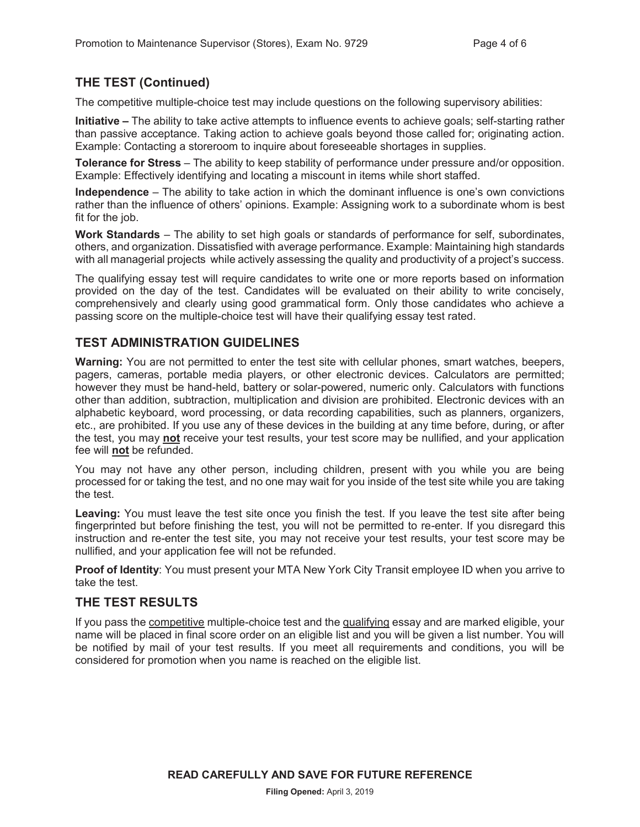# **THE TEST (Continued)**

The competitive multiple-choice test may include questions on the following supervisory abilities:

**Initiative –** The ability to take active attempts to influence events to achieve goals; self-starting rather than passive acceptance. Taking action to achieve goals beyond those called for; originating action. Example: Contacting a storeroom to inquire about foreseeable shortages in supplies.

**Tolerance for Stress** – The ability to keep stability of performance under pressure and/or opposition. Example: Effectively identifying and locating a miscount in items while short staffed.

**Independence** – The ability to take action in which the dominant influence is one's own convictions rather than the influence of others' opinions. Example: Assigning work to a subordinate whom is best fit for the job.

**Work Standards** – The ability to set high goals or standards of performance for self, subordinates, others, and organization. Dissatisfied with average performance. Example: Maintaining high standards with all managerial projects while actively assessing the quality and productivity of a project's success.

The qualifying essay test will require candidates to write one or more reports based on information provided on the day of the test. Candidates will be evaluated on their ability to write concisely, comprehensively and clearly using good grammatical form. Only those candidates who achieve a passing score on the multiple-choice test will have their qualifying essay test rated.

#### **TEST ADMINISTRATION GUIDELINES**

**Warning:** You are not permitted to enter the test site with cellular phones, smart watches, beepers, pagers, cameras, portable media players, or other electronic devices. Calculators are permitted; however they must be hand-held, battery or solar-powered, numeric only. Calculators with functions other than addition, subtraction, multiplication and division are prohibited. Electronic devices with an alphabetic keyboard, word processing, or data recording capabilities, such as planners, organizers, etc., are prohibited. If you use any of these devices in the building at any time before, during, or after the test, you may **not** receive your test results, your test score may be nullified, and your application fee will **not** be refunded.

You may not have any other person, including children, present with you while you are being processed for or taking the test, and no one may wait for you inside of the test site while you are taking the test.

**Leaving:** You must leave the test site once you finish the test. If you leave the test site after being fingerprinted but before finishing the test, you will not be permitted to re-enter. If you disregard this instruction and re-enter the test site, you may not receive your test results, your test score may be nullified, and your application fee will not be refunded.

**Proof of Identity**: You must present your MTA New York City Transit employee ID when you arrive to take the test.

#### **THE TEST RESULTS**

If you pass the competitive multiple-choice test and the qualifying essay and are marked eligible, your name will be placed in final score order on an eligible list and you will be given a list number. You will be notified by mail of your test results. If you meet all requirements and conditions, you will be considered for promotion when you name is reached on the eligible list.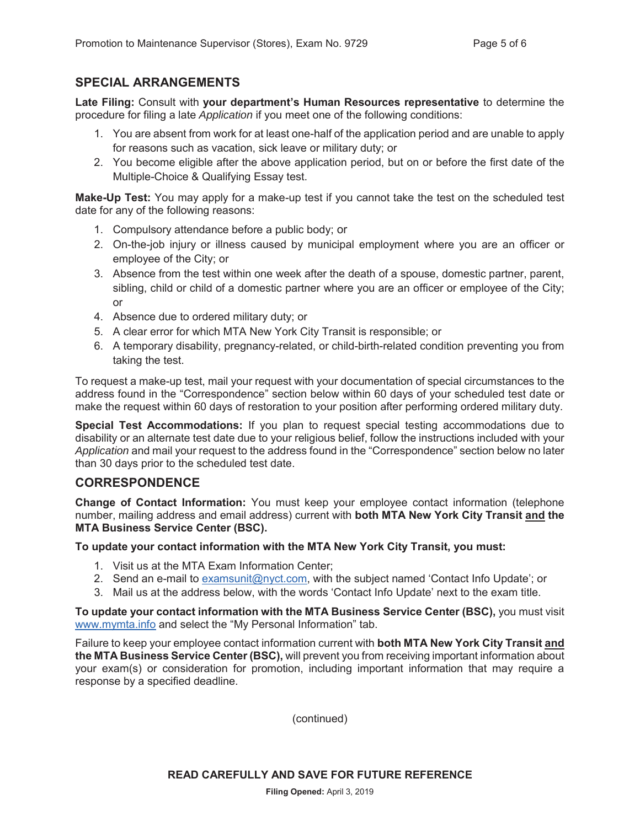#### **SPECIAL ARRANGEMENTS**

**Late Filing:** Consult with **your department's Human Resources representative** to determine the procedure for filing a late *Application* if you meet one of the following conditions:

- 1. You are absent from work for at least one-half of the application period and are unable to apply for reasons such as vacation, sick leave or military duty; or
- 2. You become eligible after the above application period, but on or before the first date of the Multiple-Choice & Qualifying Essay test.

**Make-Up Test:** You may apply for a make-up test if you cannot take the test on the scheduled test date for any of the following reasons:

- 1. Compulsory attendance before a public body; or
- 2. On-the-job injury or illness caused by municipal employment where you are an officer or employee of the City; or
- 3. Absence from the test within one week after the death of a spouse, domestic partner, parent, sibling, child or child of a domestic partner where you are an officer or employee of the City; or
- 4. Absence due to ordered military duty; or
- 5. A clear error for which MTA New York City Transit is responsible; or
- 6. A temporary disability, pregnancy-related, or child-birth-related condition preventing you from taking the test.

To request a make-up test, mail your request with your documentation of special circumstances to the address found in the "Correspondence" section below within 60 days of your scheduled test date or make the request within 60 days of restoration to your position after performing ordered military duty.

**Special Test Accommodations:** If you plan to request special testing accommodations due to disability or an alternate test date due to your religious belief, follow the instructions included with your *Application* and mail your request to the address found in the "Correspondence" section below no later than 30 days prior to the scheduled test date.

#### **CORRESPONDENCE**

**Change of Contact Information:** You must keep your employee contact information (telephone number, mailing address and email address) current with **both MTA New York City Transit and the MTA Business Service Center (BSC).**

**To update your contact information with the MTA New York City Transit, you must:** 

- 1. Visit us at the MTA Exam Information Center;
- 2. Send an e-mail to examsunit@nyct.com, with the subject named 'Contact Info Update'; or
- 3. Mail us at the address below, with the words 'Contact Info Update' next to the exam title.

**To update your contact information with the MTA Business Service Center (BSC),** you must visit www.mymta.info and select the "My Personal Information" tab.

Failure to keep your employee contact information current with **both MTA New York City Transit and the MTA Business Service Center (BSC),** will prevent you from receiving important information about your exam(s) or consideration for promotion, including important information that may require a response by a specified deadline.

(continued)